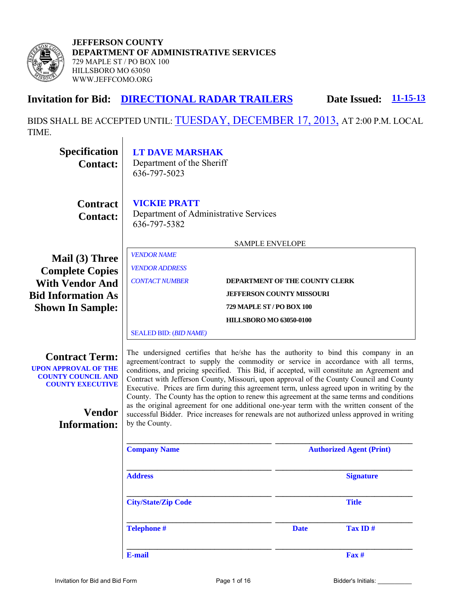

**JEFFERSON COUNTY DEPARTMENT OF ADMINISTRATIVE SERVICES**  729 MAPLE ST / PO BOX 100 HILLSBORO MO 63050 WWW.JEFFCOMO.ORG

# **Invitation for Bid: DIRECTIONAL RADAR TRAILERS** Date Issued: **11-15-13**

BIDS SHALL BE ACCEPTED UNTIL: TUESDAY, DECEMBER 17, 2013, AT 2:00 P.M. LOCAL TIME. $\overline{1}$ 

| <b>Specification</b><br><b>Contact:</b>                                                                                                              | <b>LT DAVE MARSHAK</b><br>Department of the Sheriff<br>636-797-5023                                                                                                                                                                                                                                                                                                                                                                                                                                                                                                                                                                                                                                                                                                               |                                  |                                 |  |
|------------------------------------------------------------------------------------------------------------------------------------------------------|-----------------------------------------------------------------------------------------------------------------------------------------------------------------------------------------------------------------------------------------------------------------------------------------------------------------------------------------------------------------------------------------------------------------------------------------------------------------------------------------------------------------------------------------------------------------------------------------------------------------------------------------------------------------------------------------------------------------------------------------------------------------------------------|----------------------------------|---------------------------------|--|
| <b>Contract</b><br><b>Contact:</b>                                                                                                                   | <b>VICKIE PRATT</b><br>Department of Administrative Services<br>636-797-5382                                                                                                                                                                                                                                                                                                                                                                                                                                                                                                                                                                                                                                                                                                      |                                  |                                 |  |
|                                                                                                                                                      |                                                                                                                                                                                                                                                                                                                                                                                                                                                                                                                                                                                                                                                                                                                                                                                   | <b>SAMPLE ENVELOPE</b>           |                                 |  |
| Mail (3) Three<br><b>Complete Copies</b>                                                                                                             | <b>VENDOR NAME</b><br><b>VENDOR ADDRESS</b>                                                                                                                                                                                                                                                                                                                                                                                                                                                                                                                                                                                                                                                                                                                                       |                                  |                                 |  |
| <b>CONTACT NUMBER</b><br>DEPARTMENT OF THE COUNTY CLERK<br><b>With Vendor And</b><br><b>JEFFERSON COUNTY MISSOURI</b>                                |                                                                                                                                                                                                                                                                                                                                                                                                                                                                                                                                                                                                                                                                                                                                                                                   |                                  |                                 |  |
| <b>Bid Information As</b>                                                                                                                            |                                                                                                                                                                                                                                                                                                                                                                                                                                                                                                                                                                                                                                                                                                                                                                                   | <b>729 MAPLE ST / PO BOX 100</b> |                                 |  |
| <b>Shown In Sample:</b>                                                                                                                              |                                                                                                                                                                                                                                                                                                                                                                                                                                                                                                                                                                                                                                                                                                                                                                                   | <b>HILLSBORO MO 63050-0100</b>   |                                 |  |
|                                                                                                                                                      | <b>SEALED BID: (BID NAME)</b>                                                                                                                                                                                                                                                                                                                                                                                                                                                                                                                                                                                                                                                                                                                                                     |                                  |                                 |  |
| <b>Contract Term:</b><br><b>UPON APPROVAL OF THE</b><br><b>COUNTY COUNCIL AND</b><br><b>COUNTY EXECUTIVE</b><br><b>Vendor</b><br><b>Information:</b> | The undersigned certifies that he/she has the authority to bind this company in an<br>agreement/contract to supply the commodity or service in accordance with all terms,<br>conditions, and pricing specified. This Bid, if accepted, will constitute an Agreement and<br>Contract with Jefferson County, Missouri, upon approval of the County Council and County<br>Executive. Prices are firm during this agreement term, unless agreed upon in writing by the<br>County. The County has the option to renew this agreement at the same terms and conditions<br>as the original agreement for one additional one-year term with the written consent of the<br>successful Bidder. Price increases for renewals are not authorized unless approved in writing<br>by the County. |                                  |                                 |  |
|                                                                                                                                                      | <b>Company Name</b>                                                                                                                                                                                                                                                                                                                                                                                                                                                                                                                                                                                                                                                                                                                                                               |                                  | <b>Authorized Agent (Print)</b> |  |
|                                                                                                                                                      | <b>Address</b>                                                                                                                                                                                                                                                                                                                                                                                                                                                                                                                                                                                                                                                                                                                                                                    |                                  | <b>Signature</b>                |  |
|                                                                                                                                                      | <b>City/State/Zip Code</b>                                                                                                                                                                                                                                                                                                                                                                                                                                                                                                                                                                                                                                                                                                                                                        |                                  | <b>Title</b>                    |  |
|                                                                                                                                                      | <b>Telephone #</b>                                                                                                                                                                                                                                                                                                                                                                                                                                                                                                                                                                                                                                                                                                                                                                | <b>Date</b>                      | Tax ID#                         |  |
|                                                                                                                                                      | E-mail                                                                                                                                                                                                                                                                                                                                                                                                                                                                                                                                                                                                                                                                                                                                                                            |                                  | $\mathbf{F}$ ax #               |  |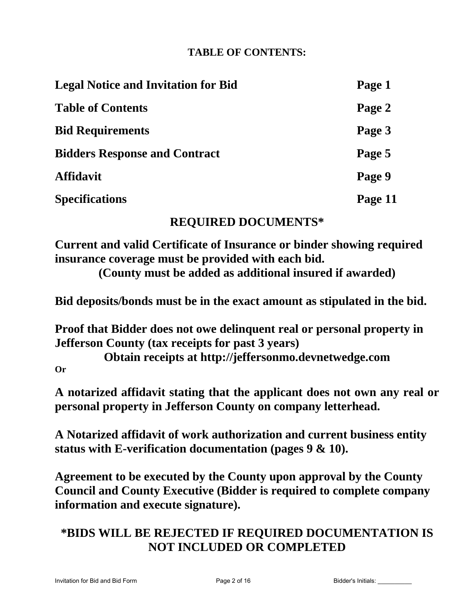# **TABLE OF CONTENTS:**

| <b>Legal Notice and Invitation for Bid</b> | Page 1  |
|--------------------------------------------|---------|
| <b>Table of Contents</b>                   | Page 2  |
| <b>Bid Requirements</b>                    | Page 3  |
| <b>Bidders Response and Contract</b>       | Page 5  |
| <b>Affidavit</b>                           | Page 9  |
| <b>Specifications</b>                      | Page 11 |

# **REQUIRED DOCUMENTS\***

**Current and valid Certificate of Insurance or binder showing required insurance coverage must be provided with each bid.** 

**(County must be added as additional insured if awarded)** 

**Bid deposits/bonds must be in the exact amount as stipulated in the bid.** 

**Proof that Bidder does not owe delinquent real or personal property in Jefferson County (tax receipts for past 3 years)** 

**Obtain receipts at http://jeffersonmo.devnetwedge.com Or** 

**A notarized affidavit stating that the applicant does not own any real or personal property in Jefferson County on company letterhead.** 

**A Notarized affidavit of work authorization and current business entity status with E-verification documentation (pages 9 & 10).** 

**Agreement to be executed by the County upon approval by the County Council and County Executive (Bidder is required to complete company information and execute signature).** 

# **\*BIDS WILL BE REJECTED IF REQUIRED DOCUMENTATION IS NOT INCLUDED OR COMPLETED**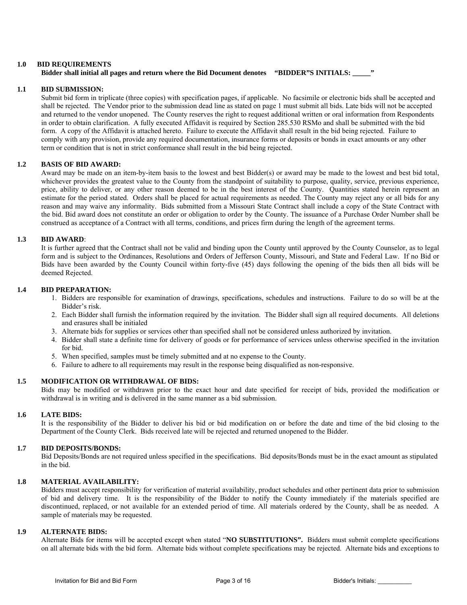#### **1.0 BID REQUIREMENTS**

## **Bidder shall initial all pages and return where the Bid Document denotes "BIDDER"S INITIALS:** "

#### **1.1 BID SUBMISSION:**

 Submit bid form in triplicate (three copies) with specification pages, if applicable. No facsimile or electronic bids shall be accepted and shall be rejected. The Vendor prior to the submission dead line as stated on page 1 must submit all bids. Late bids will not be accepted and returned to the vendor unopened. The County reserves the right to request additional written or oral information from Respondents in order to obtain clarification. A fully executed Affidavit is required by Section 285.530 RSMo and shall be submitted with the bid form. A copy of the Affidavit is attached hereto. Failure to execute the Affidavit shall result in the bid being rejected. Failure to comply with any provision, provide any required documentation, insurance forms or deposits or bonds in exact amounts or any other term or condition that is not in strict conformance shall result in the bid being rejected.

#### **1.2 BASIS OF BID AWARD:**

 Award may be made on an item-by-item basis to the lowest and best Bidder(s) or award may be made to the lowest and best bid total, whichever provides the greatest value to the County from the standpoint of suitability to purpose, quality, service, previous experience, price, ability to deliver, or any other reason deemed to be in the best interest of the County. Quantities stated herein represent an estimate for the period stated. Orders shall be placed for actual requirements as needed. The County may reject any or all bids for any reason and may waive any informality. Bids submitted from a Missouri State Contract shall include a copy of the State Contract with the bid. Bid award does not constitute an order or obligation to order by the County. The issuance of a Purchase Order Number shall be construed as acceptance of a Contract with all terms, conditions, and prices firm during the length of the agreement terms.

### **1.3 BID AWARD**:

 It is further agreed that the Contract shall not be valid and binding upon the County until approved by the County Counselor, as to legal form and is subject to the Ordinances, Resolutions and Orders of Jefferson County, Missouri, and State and Federal Law. If no Bid or Bids have been awarded by the County Council within forty-five (45) days following the opening of the bids then all bids will be deemed Rejected.

#### **1.4 BID PREPARATION:**

- 1. Bidders are responsible for examination of drawings, specifications, schedules and instructions. Failure to do so will be at the Bidder's risk.
- 2. Each Bidder shall furnish the information required by the invitation. The Bidder shall sign all required documents. All deletions and erasures shall be initialed
- 3. Alternate bids for supplies or services other than specified shall not be considered unless authorized by invitation.
- 4. Bidder shall state a definite time for delivery of goods or for performance of services unless otherwise specified in the invitation for bid.
- 5. When specified, samples must be timely submitted and at no expense to the County.
- 6. Failure to adhere to all requirements may result in the response being disqualified as non-responsive.

#### **1.5 MODIFICATION OR WITHDRAWAL OF BIDS:**

 Bids may be modified or withdrawn prior to the exact hour and date specified for receipt of bids, provided the modification or withdrawal is in writing and is delivered in the same manner as a bid submission.

#### **1.6 LATE BIDS:**

It is the responsibility of the Bidder to deliver his bid or bid modification on or before the date and time of the bid closing to the Department of the County Clerk. Bids received late will be rejected and returned unopened to the Bidder.

#### **1.7 BID DEPOSITS/BONDS:**

Bid Deposits/Bonds are not required unless specified in the specifications. Bid deposits/Bonds must be in the exact amount as stipulated in the bid.

#### **1.8 MATERIAL AVAILABILITY:**

 Bidders must accept responsibility for verification of material availability, product schedules and other pertinent data prior to submission of bid and delivery time. It is the responsibility of the Bidder to notify the County immediately if the materials specified are discontinued, replaced, or not available for an extended period of time. All materials ordered by the County, shall be as needed. A sample of materials may be requested.

#### **1.9 ALTERNATE BIDS:**

 Alternate Bids for items will be accepted except when stated "**NO SUBSTITUTIONS".** Bidders must submit complete specifications on all alternate bids with the bid form. Alternate bids without complete specifications may be rejected. Alternate bids and exceptions to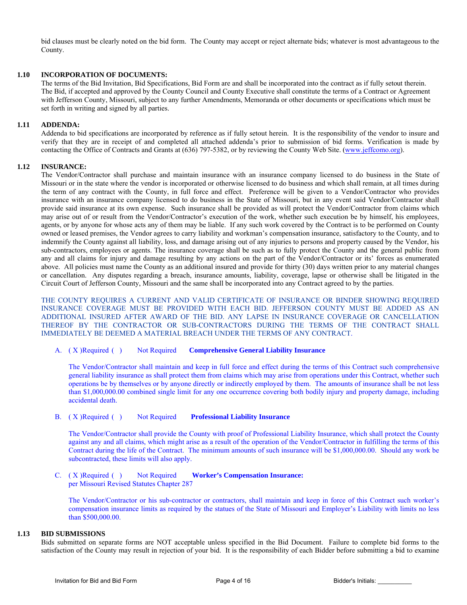bid clauses must be clearly noted on the bid form. The County may accept or reject alternate bids; whatever is most advantageous to the County.

### **1.10 INCORPORATION OF DOCUMENTS:**

 The terms of the Bid Invitation, Bid Specifications, Bid Form are and shall be incorporated into the contract as if fully setout therein. The Bid, if accepted and approved by the County Council and County Executive shall constitute the terms of a Contract or Agreement with Jefferson County, Missouri, subject to any further Amendments, Memoranda or other documents or specifications which must be set forth in writing and signed by all parties.

#### **1.11 ADDENDA:**

 Addenda to bid specifications are incorporated by reference as if fully setout herein. It is the responsibility of the vendor to insure and verify that they are in receipt of and completed all attached addenda's prior to submission of bid forms. Verification is made by contacting the Office of Contracts and Grants at (636) 797-5382, or by reviewing the County Web Site. (www.jeffcomo.org).

## **1.12 INSURANCE:**

 The Vendor/Contractor shall purchase and maintain insurance with an insurance company licensed to do business in the State of Missouri or in the state where the vendor is incorporated or otherwise licensed to do business and which shall remain, at all times during the term of any contract with the County, in full force and effect. Preference will be given to a Vendor/Contractor who provides insurance with an insurance company licensed to do business in the State of Missouri, but in any event said Vendor/Contractor shall provide said insurance at its own expense. Such insurance shall be provided as will protect the Vendor/Contractor from claims which may arise out of or result from the Vendor/Contractor's execution of the work, whether such execution be by himself, his employees, agents, or by anyone for whose acts any of them may be liable. If any such work covered by the Contract is to be performed on County owned or leased premises, the Vendor agrees to carry liability and workman's compensation insurance, satisfactory to the County, and to indemnify the County against all liability, loss, and damage arising out of any injuries to persons and property caused by the Vendor, his sub-contractors, employees or agents. The insurance coverage shall be such as to fully protect the County and the general public from any and all claims for injury and damage resulting by any actions on the part of the Vendor/Contractor or its' forces as enumerated above. All policies must name the County as an additional insured and provide for thirty (30) days written prior to any material changes or cancellation. Any disputes regarding a breach, insurance amounts, liability, coverage, lapse or otherwise shall be litigated in the Circuit Court of Jefferson County, Missouri and the same shall be incorporated into any Contract agreed to by the parties.

THE COUNTY REQUIRES A CURRENT AND VALID CERTIFICATE OF INSURANCE OR BINDER SHOWING REQUIRED INSURANCE COVERAGE MUST BE PROVIDED WITH EACH BID. JEFFERSON COUNTY MUST BE ADDED AS AN ADDITIONAL INSURED AFTER AWARD OF THE BID. ANY LAPSE IN INSURANCE COVERAGE OR CANCELLATION THEREOF BY THE CONTRACTOR OR SUB-CONTRACTORS DURING THE TERMS OF THE CONTRACT SHALL IMMEDIATELY BE DEEMED A MATERIAL BREACH UNDER THE TERMS OF ANY CONTRACT.

#### A. ( X ) Required ( ) Not Required **Comprehensive General Liability Insurance**

 The Vendor/Contractor shall maintain and keep in full force and effect during the terms of this Contract such comprehensive general liability insurance as shall protect them from claims which may arise from operations under this Contract, whether such operations be by themselves or by anyone directly or indirectly employed by them. The amounts of insurance shall be not less than \$1,000,000.00 combined single limit for any one occurrence covering both bodily injury and property damage, including accidental death.

#### B. ( X ) Required ( ) Not Required **Professional Liability Insurance**

 The Vendor/Contractor shall provide the County with proof of Professional Liability Insurance, which shall protect the County against any and all claims, which might arise as a result of the operation of the Vendor/Contractor in fulfilling the terms of this Contract during the life of the Contract. The minimum amounts of such insurance will be \$1,000,000.00. Should any work be subcontracted, these limits will also apply.

#### C. ( X ) Required ( ) Not Required **Worker's Compensation Insurance:**  per Missouri Revised Statutes Chapter 287

 The Vendor/Contractor or his sub-contractor or contractors, shall maintain and keep in force of this Contract such worker's compensation insurance limits as required by the statues of the State of Missouri and Employer's Liability with limits no less than \$500,000.00.

## **1.13 BID SUBMISSIONS**

 Bids submitted on separate forms are NOT acceptable unless specified in the Bid Document. Failure to complete bid forms to the satisfaction of the County may result in rejection of your bid. It is the responsibility of each Bidder before submitting a bid to examine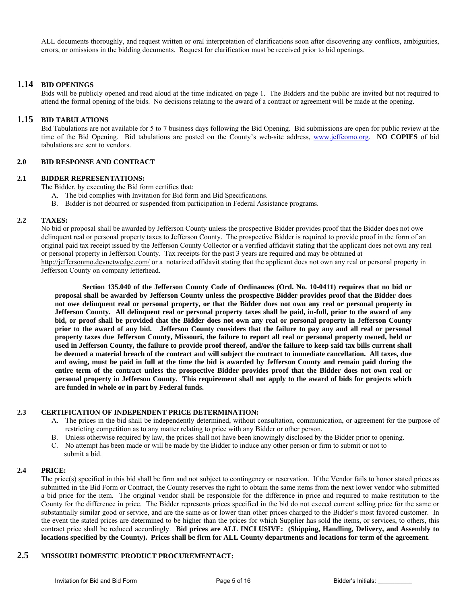ALL documents thoroughly, and request written or oral interpretation of clarifications soon after discovering any conflicts, ambiguities, errors, or omissions in the bidding documents. Request for clarification must be received prior to bid openings.

#### **1.14 BID OPENINGS**

 Bids will be publicly opened and read aloud at the time indicated on page 1. The Bidders and the public are invited but not required to attend the formal opening of the bids. No decisions relating to the award of a contract or agreement will be made at the opening.

#### **1.15 BID TABULATIONS**

 Bid Tabulations are not available for 5 to 7 business days following the Bid Opening. Bid submissions are open for public review at the time of the Bid Opening. Bid tabulations are posted on the County's web-site address, www.jeffcomo.org. **NO COPIES** of bid tabulations are sent to vendors.

#### **2.0 BID RESPONSE AND CONTRACT**

#### **2.1 BIDDER REPRESENTATIONS:**

The Bidder, by executing the Bid form certifies that:

- A. The bid complies with Invitation for Bid form and Bid Specifications.
- B. Bidder is not debarred or suspended from participation in Federal Assistance programs.

#### **2.2 TAXES:**

No bid or proposal shall be awarded by Jefferson County unless the prospective Bidder provides proof that the Bidder does not owe delinquent real or personal property taxes to Jefferson County. The prospective Bidder is required to provide proof in the form of an original paid tax receipt issued by the Jefferson County Collector or a verified affidavit stating that the applicant does not own any real or personal property in Jefferson County. Tax receipts for the past 3 years are required and may be obtained at http://jeffersonmo.devnetwedge.com/ or a notarized affidavit stating that the applicant does not own any real or personal property in Jefferson County on company letterhead.

 **Section 135.040 of the Jefferson County Code of Ordinances (Ord. No. 10-0411) requires that no bid or proposal shall be awarded by Jefferson County unless the prospective Bidder provides proof that the Bidder does not owe delinquent real or personal property, or that the Bidder does not own any real or personal property in Jefferson County. All delinquent real or personal property taxes shall be paid, in-full, prior to the award of any bid, or proof shall be provided that the Bidder does not own any real or personal property in Jefferson County prior to the award of any bid. Jefferson County considers that the failure to pay any and all real or personal property taxes due Jefferson County, Missouri, the failure to report all real or personal property owned, held or used in Jefferson County, the failure to provide proof thereof, and/or the failure to keep said tax bills current shall be deemed a material breach of the contract and will subject the contract to immediate cancellation. All taxes, due and owing, must be paid in full at the time the bid is awarded by Jefferson County and remain paid during the entire term of the contract unless the prospective Bidder provides proof that the Bidder does not own real or personal property in Jefferson County. This requirement shall not apply to the award of bids for projects which are funded in whole or in part by Federal funds.** 

#### **2.3 CERTIFICATION OF INDEPENDENT PRICE DETERMINATION:**

- A. The prices in the bid shall be independently determined, without consultation, communication, or agreement for the purpose of restricting competition as to any matter relating to price with any Bidder or other person.
- B. Unless otherwise required by law, the prices shall not have been knowingly disclosed by the Bidder prior to opening.
- C. No attempt has been made or will be made by the Bidder to induce any other person or firm to submit or not to submit a bid.

#### **2.4 PRICE:**

 The price(s) specified in this bid shall be firm and not subject to contingency or reservation. If the Vendor fails to honor stated prices as submitted in the Bid Form or Contract, the County reserves the right to obtain the same items from the next lower vendor who submitted a bid price for the item. The original vendor shall be responsible for the difference in price and required to make restitution to the County for the difference in price. The Bidder represents prices specified in the bid do not exceed current selling price for the same or substantially similar good or service, and are the same as or lower than other prices charged to the Bidder's most favored customer. In the event the stated prices are determined to be higher than the prices for which Supplier has sold the items, or services, to others, this contract price shall be reduced accordingly. **Bid prices are ALL INCLUSIVE: (Shipping, Handling, Delivery, and Assembly to locations specified by the County). Prices shall be firm for ALL County departments and locations for term of the agreement**.

## **2.5 MISSOURI DOMESTIC PRODUCT PROCUREMENTACT:**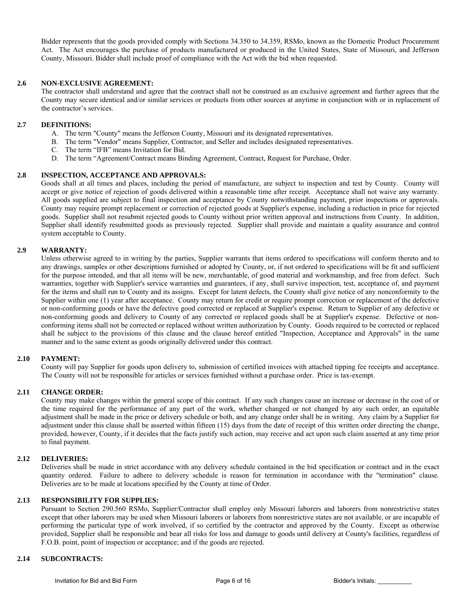Bidder represents that the goods provided comply with Sections 34.350 to 34.359, RSMo, known as the Domestic Product Procurement Act. The Act encourages the purchase of products manufactured or produced in the United States, State of Missouri, and Jefferson County, Missouri. Bidder shall include proof of compliance with the Act with the bid when requested.

#### **2.6 NON-EXCLUSIVE AGREEMENT:**

 The contractor shall understand and agree that the contract shall not be construed as an exclusive agreement and further agrees that the County may secure identical and/or similar services or products from other sources at anytime in conjunction with or in replacement of the contractor's services.

#### **2.7 DEFINITIONS:**

- A. The term "County" means the Jefferson County, Missouri and its designated representatives.
- B. The term "Vendor" means Supplier, Contractor, and Seller and includes designated representatives.
- C. The term "IFB" means Invitation for Bid.
- D. The term "Agreement/Contract means Binding Agreement, Contract, Request for Purchase, Order.

#### **2.8 INSPECTION, ACCEPTANCE AND APPROVALS:**

 Goods shall at all times and places, including the period of manufacture, are subject to inspection and test by County. County will accept or give notice of rejection of goods delivered within a reasonable time after receipt. Acceptance shall not waive any warranty. All goods supplied are subject to final inspection and acceptance by County notwithstanding payment, prior inspections or approvals. County may require prompt replacement or correction of rejected goods at Supplier's expense, including a reduction in price for rejected goods. Supplier shall not resubmit rejected goods to County without prior written approval and instructions from County. In addition, Supplier shall identify resubmitted goods as previously rejected. Supplier shall provide and maintain a quality assurance and control system acceptable to County.

#### **2.9 WARRANTY:**

 Unless otherwise agreed to in writing by the parties, Supplier warrants that items ordered to specifications will conform thereto and to any drawings, samples or other descriptions furnished or adopted by County, or, if not ordered to specifications will be fit and sufficient for the purpose intended, and that all items will be new, merchantable, of good material and workmanship, and free from defect. Such warranties, together with Supplier's service warranties and guarantees, if any, shall survive inspection, test, acceptance of, and payment for the items and shall run to County and its assigns. Except for latent defects, the County shall give notice of any nonconformity to the Supplier within one (1) year after acceptance. County may return for credit or require prompt correction or replacement of the defective or non-conforming goods or have the defective good corrected or replaced at Supplier's expense. Return to Supplier of any defective or non-conforming goods and delivery to County of any corrected or replaced goods shall be at Supplier's expense. Defective or nonconforming items shall not be corrected or replaced without written authorization by County. Goods required to be corrected or replaced shall be subject to the provisions of this clause and the clause hereof entitled "Inspection, Acceptance and Approvals" in the same manner and to the same extent as goods originally delivered under this contract.

#### **2.10 PAYMENT:**

 County will pay Supplier for goods upon delivery to, submission of certified invoices with attached tipping fee receipts and acceptance. The County will not be responsible for articles or services furnished without a purchase order. Price is tax-exempt.

#### **2.11 CHANGE ORDER:**

 County may make changes within the general scope of this contract. If any such changes cause an increase or decrease in the cost of or the time required for the performance of any part of the work, whether changed or not changed by any such order, an equitable adjustment shall be made in the price or delivery schedule or both, and any change order shall be in writing. Any claim by a Supplier for adjustment under this clause shall be asserted within fifteen (15) days from the date of receipt of this written order directing the change, provided, however, County, if it decides that the facts justify such action, may receive and act upon such claim asserted at any time prior to final payment.

#### **2.12 DELIVERIES:**

 Deliveries shall be made in strict accordance with any delivery schedule contained in the bid specification or contract and in the exact quantity ordered. Failure to adhere to delivery schedule is reason for termination in accordance with the "termination" clause. Deliveries are to be made at locations specified by the County at time of Order.

### **2.13 RESPONSIBILITY FOR SUPPLIES:**

 Pursuant to Section 290.560 RSMo, Supplier/Contractor shall employ only Missouri laborers and laborers from nonrestrictive states except that other laborers may be used when Missouri laborers or laborers from nonrestrictive states are not available, or are incapable of performing the particular type of work involved, if so certified by the contractor and approved by the County. Except as otherwise provided, Supplier shall be responsible and bear all risks for loss and damage to goods until delivery at County's facilities, regardless of F.O.B. point, point of inspection or acceptance; and if the goods are rejected.

### **2.14 SUBCONTRACTS:**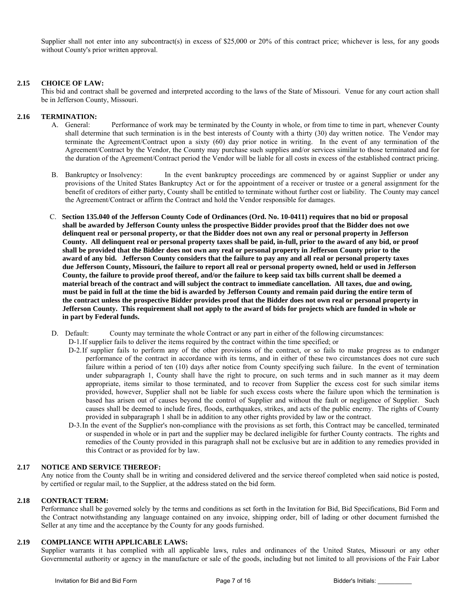Supplier shall not enter into any subcontract(s) in excess of \$25,000 or 20% of this contract price; whichever is less, for any goods without County's prior written approval.

#### **2.15 CHOICE OF LAW:**

 This bid and contract shall be governed and interpreted according to the laws of the State of Missouri. Venue for any court action shall be in Jefferson County, Missouri.

#### **2.16 TERMINATION:**

- A. General: Performance of work may be terminated by the County in whole, or from time to time in part, whenever County shall determine that such termination is in the best interests of County with a thirty (30) day written notice. The Vendor may terminate the Agreement/Contract upon a sixty (60) day prior notice in writing. In the event of any termination of the Agreement/Contract by the Vendor, the County may purchase such supplies and/or services similar to those terminated and for the duration of the Agreement/Contract period the Vendor will be liable for all costs in excess of the established contract pricing.
- B. Bankruptcy or Insolvency: In the event bankruptcy proceedings are commenced by or against Supplier or under any provisions of the United States Bankruptcy Act or for the appointment of a receiver or trustee or a general assignment for the benefit of creditors of either party, County shall be entitled to terminate without further cost or liability. The County may cancel the Agreement/Contract or affirm the Contract and hold the Vendor responsible for damages.
- C. **Section 135.040 of the Jefferson County Code of Ordinances (Ord. No. 10-0411) requires that no bid or proposal shall be awarded by Jefferson County unless the prospective Bidder provides proof that the Bidder does not owe delinquent real or personal property, or that the Bidder does not own any real or personal property in Jefferson County. All delinquent real or personal property taxes shall be paid, in-full, prior to the award of any bid, or proof shall be provided that the Bidder does not own any real or personal property in Jefferson County prior to the award of any bid. Jefferson County considers that the failure to pay any and all real or personal property taxes due Jefferson County, Missouri, the failure to report all real or personal property owned, held or used in Jefferson County, the failure to provide proof thereof, and/or the failure to keep said tax bills current shall be deemed a material breach of the contract and will subject the contract to immediate cancellation. All taxes, due and owing, must be paid in full at the time the bid is awarded by Jefferson County and remain paid during the entire term of the contract unless the prospective Bidder provides proof that the Bidder does not own real or personal property in Jefferson County. This requirement shall not apply to the award of bids for projects which are funded in whole or in part by Federal funds.**
- D. Default: County may terminate the whole Contract or any part in either of the following circumstances:

D-1. If supplier fails to deliver the items required by the contract within the time specified; or

- D-2. If supplier fails to perform any of the other provisions of the contract, or so fails to make progress as to endanger performance of the contract in accordance with its terms, and in either of these two circumstances does not cure such failure within a period of ten (10) days after notice from County specifying such failure. In the event of termination under subparagraph 1, County shall have the right to procure, on such terms and in such manner as it may deem appropriate, items similar to those terminated, and to recover from Supplier the excess cost for such similar items provided, however, Supplier shall not be liable for such excess costs where the failure upon which the termination is based has arisen out of causes beyond the control of Supplier and without the fault or negligence of Supplier. Such causes shall be deemed to include fires, floods, earthquakes, strikes, and acts of the public enemy. The rights of County provided in subparagraph 1 shall be in addition to any other rights provided by law or the contract.
- D-3. In the event of the Supplier's non-compliance with the provisions as set forth, this Contract may be cancelled, terminated or suspended in whole or in part and the supplier may be declared ineligible for further County contracts. The rights and remedies of the County provided in this paragraph shall not be exclusive but are in addition to any remedies provided in this Contract or as provided for by law.

#### **2.17 NOTICE AND SERVICE THEREOF:**

 Any notice from the County shall be in writing and considered delivered and the service thereof completed when said notice is posted, by certified or regular mail, to the Supplier, at the address stated on the bid form.

#### **2.18 CONTRACT TERM:**

 Performance shall be governed solely by the terms and conditions as set forth in the Invitation for Bid, Bid Specifications, Bid Form and the Contract notwithstanding any language contained on any invoice, shipping order, bill of lading or other document furnished the Seller at any time and the acceptance by the County for any goods furnished.

#### **2.19 COMPLIANCE WITH APPLICABLE LAWS:**

 Supplier warrants it has complied with all applicable laws, rules and ordinances of the United States, Missouri or any other Governmental authority or agency in the manufacture or sale of the goods, including but not limited to all provisions of the Fair Labor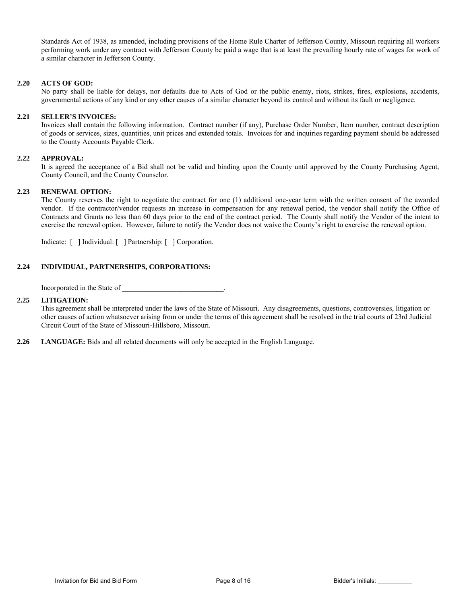Standards Act of 1938, as amended, including provisions of the Home Rule Charter of Jefferson County, Missouri requiring all workers performing work under any contract with Jefferson County be paid a wage that is at least the prevailing hourly rate of wages for work of a similar character in Jefferson County.

#### **2.20 ACTS OF GOD:**

 No party shall be liable for delays, nor defaults due to Acts of God or the public enemy, riots, strikes, fires, explosions, accidents, governmental actions of any kind or any other causes of a similar character beyond its control and without its fault or negligence.

#### **2.21 SELLER'S INVOICES:**

 Invoices shall contain the following information. Contract number (if any), Purchase Order Number, Item number, contract description of goods or services, sizes, quantities, unit prices and extended totals. Invoices for and inquiries regarding payment should be addressed to the County Accounts Payable Clerk.

#### **2.22 APPROVAL:**

 It is agreed the acceptance of a Bid shall not be valid and binding upon the County until approved by the County Purchasing Agent, County Council, and the County Counselor.

#### **2.23 RENEWAL OPTION:**

 The County reserves the right to negotiate the contract for one (1) additional one-year term with the written consent of the awarded vendor. If the contractor/vendor requests an increase in compensation for any renewal period, the vendor shall notify the Office of Contracts and Grants no less than 60 days prior to the end of the contract period. The County shall notify the Vendor of the intent to exercise the renewal option. However, failure to notify the Vendor does not waive the County's right to exercise the renewal option.

Indicate: [ ] Individual: [ ] Partnership: [ ] Corporation.

#### **2.24 INDIVIDUAL, PARTNERSHIPS, CORPORATIONS:**

Incorporated in the State of

#### **2.25 LITIGATION:**

This agreement shall be interpreted under the laws of the State of Missouri. Any disagreements, questions, controversies, litigation or other causes of action whatsoever arising from or under the terms of this agreement shall be resolved in the trial courts of 23rd Judicial Circuit Court of the State of Missouri-Hillsboro, Missouri.

**2.26 LANGUAGE:** Bids and all related documents will only be accepted in the English Language.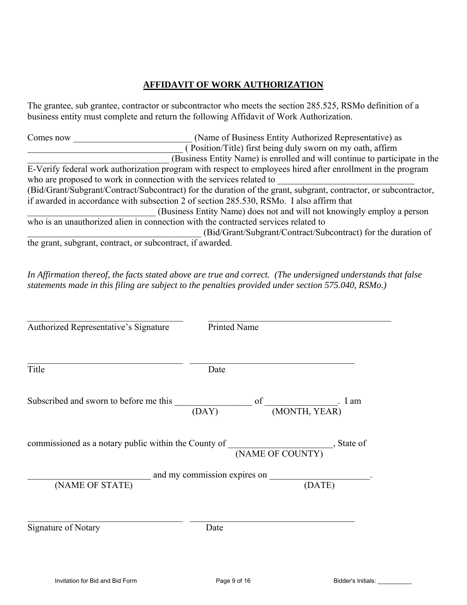# **AFFIDAVIT OF WORK AUTHORIZATION**

The grantee, sub grantee, contractor or subcontractor who meets the section 285.525, RSMo definition of a business entity must complete and return the following Affidavit of Work Authorization.

Comes now Comes now (Name of Business Entity Authorized Representative) as \_\_\_\_\_\_\_\_\_\_\_\_\_\_\_\_\_\_\_\_\_\_\_\_\_\_\_\_\_\_\_\_\_\_ ( Position/Title) first being duly sworn on my oath, affirm \_\_\_\_\_\_\_\_\_\_\_\_\_\_\_\_\_\_\_\_\_\_\_\_\_\_\_\_\_\_\_ (Business Entity Name) is enrolled and will continue to participate in the E-Verify federal work authorization program with respect to employees hired after enrollment in the program who are proposed to work in connection with the services related to (Bid/Grant/Subgrant/Contract/Subcontract) for the duration of the grant, subgrant, contractor, or subcontractor, if awarded in accordance with subsection 2 of section 285.530, RSMo. I also affirm that \_\_\_\_\_\_\_\_\_\_\_\_\_\_\_\_\_\_\_\_\_\_\_\_\_\_\_\_ (Business Entity Name) does not and will not knowingly employ a person who is an unauthorized alien in connection with the contracted services related to \_\_\_\_\_\_\_\_\_\_\_\_\_\_\_\_\_\_\_\_\_\_\_\_\_\_\_\_\_\_\_\_\_\_\_\_\_\_ (Bid/Grant/Subgrant/Contract/Subcontract) for the duration of the grant, subgrant, contract, or subcontract, if awarded.

*In Affirmation thereof, the facts stated above are true and correct. (The undersigned understands that false statements made in this filing are subject to the penalties provided under section 575.040, RSMo.)* 

| Authorized Representative's Signature                                                                | <b>Printed Name</b> |                              |
|------------------------------------------------------------------------------------------------------|---------------------|------------------------------|
| Title                                                                                                | Date                |                              |
| Subscribed and sworn to before me this                                                               | (DAY)               | I am<br>(MONTH, YEAR)        |
| commissioned as a notary public within the County of $\frac{1}{N_{\text{NME OF COUNTY}}}$ , State of |                     |                              |
|                                                                                                      |                     | and my commission expires on |
| (NAME OF STATE)                                                                                      |                     | (DATE)                       |
| Signature of Notary                                                                                  | Date                |                              |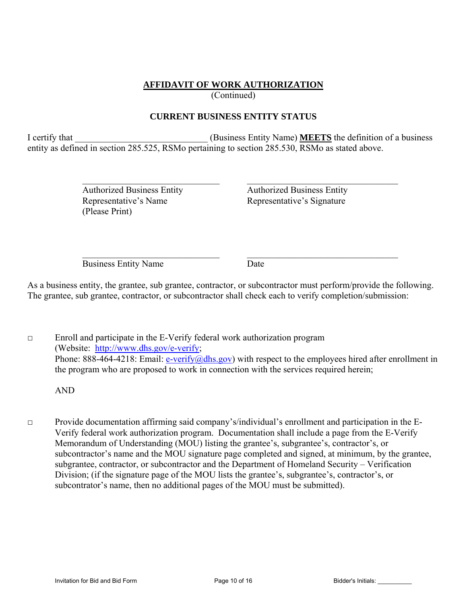## **AFFIDAVIT OF WORK AUTHORIZATION**

(Continued)

# **CURRENT BUSINESS ENTITY STATUS**

I certify that **I** certify that **I** certify that **I** certify that **I** certify that **I** certify that **I** certify that **I** certify that **I** certify that **I** certify that **I** certify that **I** certify that **I** certify that **I** entity as defined in section 285.525, RSMo pertaining to section 285.530, RSMo as stated above.

 $\mathcal{L}_\text{max} = \frac{1}{2} \sum_{i=1}^n \mathcal{L}_\text{max}(\mathbf{z}_i - \mathbf{z}_i)$ 

 $\mathcal{L}_\mathcal{L} = \mathcal{L}_\mathcal{L} = \mathcal{L}_\mathcal{L} = \mathcal{L}_\mathcal{L} = \mathcal{L}_\mathcal{L} = \mathcal{L}_\mathcal{L} = \mathcal{L}_\mathcal{L} = \mathcal{L}_\mathcal{L} = \mathcal{L}_\mathcal{L} = \mathcal{L}_\mathcal{L} = \mathcal{L}_\mathcal{L} = \mathcal{L}_\mathcal{L} = \mathcal{L}_\mathcal{L} = \mathcal{L}_\mathcal{L} = \mathcal{L}_\mathcal{L} = \mathcal{L}_\mathcal{L} = \mathcal{L}_\mathcal{L}$ 

 Authorized Business Entity Authorized Business Entity Representative's Name Representative's Signature (Please Print)

Business Entity Name Date

As a business entity, the grantee, sub grantee, contractor, or subcontractor must perform/provide the following. The grantee, sub grantee, contractor, or subcontractor shall check each to verify completion/submission:

□ Enroll and participate in the E-Verify federal work authorization program (Website: http://www.dhs.gov/e-verify; Phone: 888-464-4218: Email: e-verify@dhs.gov) with respect to the employees hired after enrollment in the program who are proposed to work in connection with the services required herein;

AND

□ Provide documentation affirming said company's/individual's enrollment and participation in the E-Verify federal work authorization program. Documentation shall include a page from the E-Verify Memorandum of Understanding (MOU) listing the grantee's, subgrantee's, contractor's, or subcontractor's name and the MOU signature page completed and signed, at minimum, by the grantee, subgrantee, contractor, or subcontractor and the Department of Homeland Security – Verification Division; (if the signature page of the MOU lists the grantee's, subgrantee's, contractor's, or subcontrator's name, then no additional pages of the MOU must be submitted).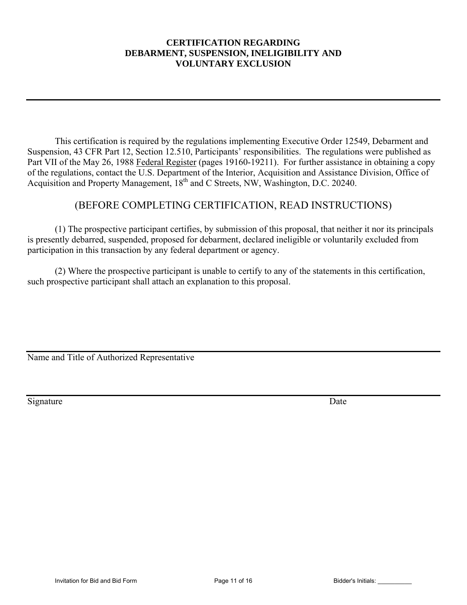# **CERTIFICATION REGARDING DEBARMENT, SUSPENSION, INELIGIBILITY AND VOLUNTARY EXCLUSION**

This certification is required by the regulations implementing Executive Order 12549, Debarment and Suspension, 43 CFR Part 12, Section 12.510, Participants' responsibilities. The regulations were published as Part VII of the May 26, 1988 Federal Register (pages 19160-19211). For further assistance in obtaining a copy of the regulations, contact the U.S. Department of the Interior, Acquisition and Assistance Division, Office of Acquisition and Property Management, 18<sup>th</sup> and C Streets, NW, Washington, D.C. 20240.

# (BEFORE COMPLETING CERTIFICATION, READ INSTRUCTIONS)

 (1) The prospective participant certifies, by submission of this proposal, that neither it nor its principals is presently debarred, suspended, proposed for debarment, declared ineligible or voluntarily excluded from participation in this transaction by any federal department or agency.

 (2) Where the prospective participant is unable to certify to any of the statements in this certification, such prospective participant shall attach an explanation to this proposal.

Name and Title of Authorized Representative

Signature Date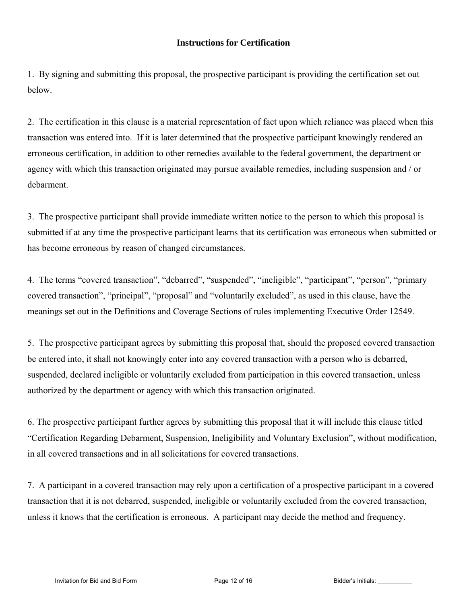## **Instructions for Certification**

1. By signing and submitting this proposal, the prospective participant is providing the certification set out below.

2. The certification in this clause is a material representation of fact upon which reliance was placed when this transaction was entered into. If it is later determined that the prospective participant knowingly rendered an erroneous certification, in addition to other remedies available to the federal government, the department or agency with which this transaction originated may pursue available remedies, including suspension and / or debarment.

3. The prospective participant shall provide immediate written notice to the person to which this proposal is submitted if at any time the prospective participant learns that its certification was erroneous when submitted or has become erroneous by reason of changed circumstances.

4. The terms "covered transaction", "debarred", "suspended", "ineligible", "participant", "person", "primary covered transaction", "principal", "proposal" and "voluntarily excluded", as used in this clause, have the meanings set out in the Definitions and Coverage Sections of rules implementing Executive Order 12549.

5. The prospective participant agrees by submitting this proposal that, should the proposed covered transaction be entered into, it shall not knowingly enter into any covered transaction with a person who is debarred, suspended, declared ineligible or voluntarily excluded from participation in this covered transaction, unless authorized by the department or agency with which this transaction originated.

6. The prospective participant further agrees by submitting this proposal that it will include this clause titled "Certification Regarding Debarment, Suspension, Ineligibility and Voluntary Exclusion", without modification, in all covered transactions and in all solicitations for covered transactions.

7. A participant in a covered transaction may rely upon a certification of a prospective participant in a covered transaction that it is not debarred, suspended, ineligible or voluntarily excluded from the covered transaction, unless it knows that the certification is erroneous. A participant may decide the method and frequency.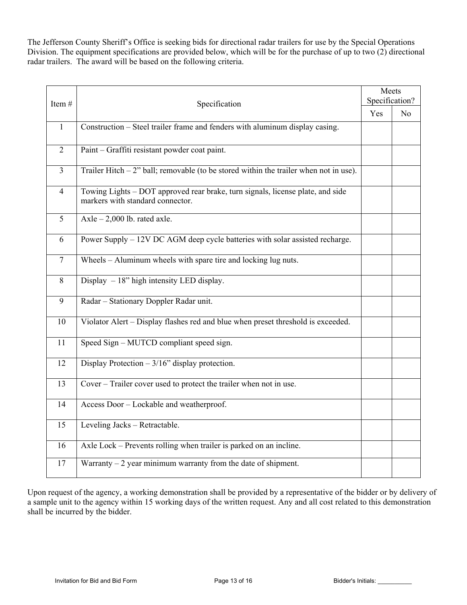The Jefferson County Sheriff's Office is seeking bids for directional radar trailers for use by the Special Operations Division. The equipment specifications are provided below, which will be for the purchase of up to two (2) directional radar trailers. The award will be based on the following criteria.

| Item#           | Specification                                                                                                      | Meets<br>Specification? |                |
|-----------------|--------------------------------------------------------------------------------------------------------------------|-------------------------|----------------|
|                 |                                                                                                                    |                         | N <sub>o</sub> |
| $\mathbf{1}$    | Construction - Steel trailer frame and fenders with aluminum display casing.                                       |                         |                |
| $\overline{2}$  | Paint - Graffiti resistant powder coat paint.                                                                      |                         |                |
| $\overline{3}$  | Trailer Hitch $-2$ " ball; removable (to be stored within the trailer when not in use).                            |                         |                |
| $\overline{4}$  | Towing Lights - DOT approved rear brake, turn signals, license plate, and side<br>markers with standard connector. |                         |                |
| 5               | Axle $-2,000$ lb. rated axle.                                                                                      |                         |                |
| 6               | Power Supply – 12V DC AGM deep cycle batteries with solar assisted recharge.                                       |                         |                |
| $\overline{7}$  | Wheels – Aluminum wheels with spare tire and locking lug nuts.                                                     |                         |                |
| $8\,$           | Display $-18$ " high intensity LED display.                                                                        |                         |                |
| $\overline{9}$  | Radar - Stationary Doppler Radar unit.                                                                             |                         |                |
| 10              | Violator Alert - Display flashes red and blue when preset threshold is exceeded.                                   |                         |                |
| 11              | Speed Sign - MUTCD compliant speed sign.                                                                           |                         |                |
| 12              | Display Protection $-3/16$ " display protection.                                                                   |                         |                |
| 13              | Cover - Trailer cover used to protect the trailer when not in use.                                                 |                         |                |
| 14              | Access Door - Lockable and weatherproof.                                                                           |                         |                |
| $\overline{15}$ | Leveling Jacks - Retractable.                                                                                      |                         |                |
| 16              | Axle Lock – Prevents rolling when trailer is parked on an incline.                                                 |                         |                |
| 17              | Warranty $-2$ year minimum warranty from the date of shipment.                                                     |                         |                |

Upon request of the agency, a working demonstration shall be provided by a representative of the bidder or by delivery of a sample unit to the agency within 15 working days of the written request. Any and all cost related to this demonstration shall be incurred by the bidder.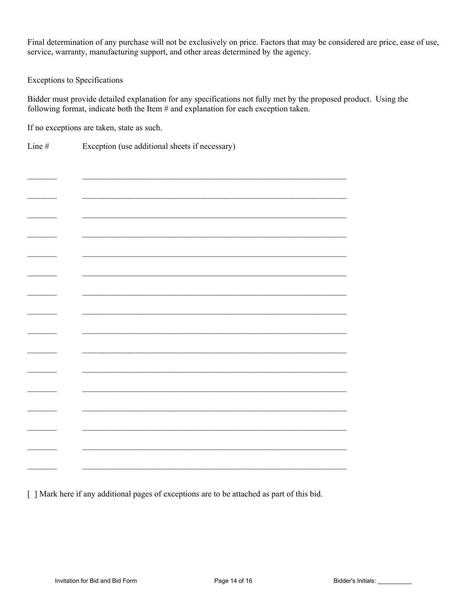Final determination of any purchase will not be exclusively on price. Factors that may be considered are price, ease of use, service, warranty, manufacturing support, and other areas determined by the agency.

Exceptions to Specifications

Bidder must provide detailed explanation for any specifications not fully met by the proposed product. Using the following format, indicate both the Item # and explanation for each exception taken.

If no exceptions are taken, state as such.

Line # Exception (use additional sheets if necessary)

[ ] Mark here if any additional pages of exceptions are to be attached as part of this bid.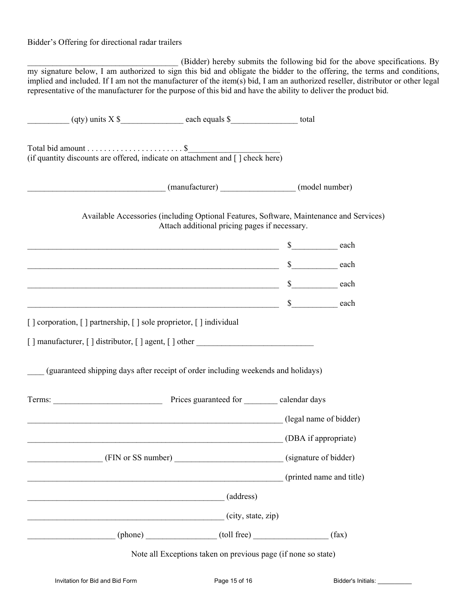## Bidder's Offering for directional radar trailers

\_\_\_\_\_\_\_\_\_\_\_\_\_\_\_\_\_\_\_\_\_\_\_\_\_\_\_\_\_\_\_\_\_\_\_\_ (Bidder) hereby submits the following bid for the above specifications. By my signature below, I am authorized to sign this bid and obligate the bidder to the offering, the terms and conditions, implied and included. If I am not the manufacturer of the item(s) bid, I am an authorized reseller, distributor or other legal representative of the manufacturer for the purpose of this bid and have the ability to deliver the product bid.

|                                                                                     | (manufacturer) (manufacturer) (model number)                                                                                             |                          |  |
|-------------------------------------------------------------------------------------|------------------------------------------------------------------------------------------------------------------------------------------|--------------------------|--|
|                                                                                     | Available Accessories (including Optional Features, Software, Maintenance and Services)<br>Attach additional pricing pages if necessary. |                          |  |
|                                                                                     |                                                                                                                                          |                          |  |
|                                                                                     | $\sim$ 8 each each example $\sim$ 8 each                                                                                                 |                          |  |
|                                                                                     | $\sim$ 8 each each $\sim$                                                                                                                |                          |  |
|                                                                                     |                                                                                                                                          |                          |  |
| [] corporation, [] partnership, [] sole proprietor, [] individual                   |                                                                                                                                          |                          |  |
| $\lceil$   manufacturer, $\lceil$   distributor, $\lceil$   agent, $\lceil$   other |                                                                                                                                          |                          |  |
| (guaranteed shipping days after receipt of order including weekends and holidays)   |                                                                                                                                          |                          |  |
|                                                                                     |                                                                                                                                          |                          |  |
|                                                                                     | (legal name of bidder)                                                                                                                   |                          |  |
|                                                                                     | (DBA if appropriate)                                                                                                                     |                          |  |
| (FIN or SS number)                                                                  |                                                                                                                                          | (signature of bidder)    |  |
|                                                                                     |                                                                                                                                          | (printed name and title) |  |
| $\overline{\phantom{a}}$ (address)                                                  |                                                                                                                                          |                          |  |
|                                                                                     | (city, state, zip)                                                                                                                       |                          |  |
|                                                                                     | $(phone)$ $(toll free)$ $(tall free)$ $(tax)$                                                                                            |                          |  |
|                                                                                     | Note all Exceptions taken on previous page (if none so state)                                                                            |                          |  |